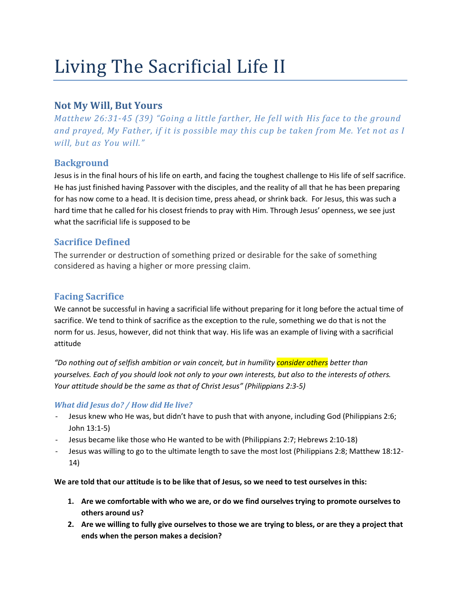# Living The Sacrificial Life II

## Not My Will, But Yours

Matthew 26:31-45 (39) "Going a little farther, He fell with His face to the ground and prayed, My Father, if it is possible may this cup be taken from Me. Yet not as I will, but as You will."

## **Background**

Jesus is in the final hours of his life on earth, and facing the toughest challenge to His life of self sacrifice. He has just finished having Passover with the disciples, and the reality of all that he has been preparing for has now come to a head. It is decision time, press ahead, or shrink back. For Jesus, this was such a hard time that he called for his closest friends to pray with Him. Through Jesus' openness, we see just what the sacrificial life is supposed to be

## Sacrifice Defined

The surrender or destruction of something prized or desirable for the sake of something considered as having a higher or more pressing claim.

### Facing Sacrifice

We cannot be successful in having a sacrificial life without preparing for it long before the actual time of sacrifice. We tend to think of sacrifice as the exception to the rule, something we do that is not the norm for us. Jesus, however, did not think that way. His life was an example of living with a sacrificial attitude

"Do nothing out of selfish ambition or vain conceit, but in humility <mark>consider others</mark> better than yourselves. Each of you should look not only to your own interests, but also to the interests of others. Your attitude should be the same as that of Christ Jesus" (Philippians 2:3-5)

#### What did Jesus do? / How did He live?

- Jesus knew who He was, but didn't have to push that with anyone, including God (Philippians 2:6; John 13:1-5)
- Jesus became like those who He wanted to be with (Philippians 2:7; Hebrews 2:10-18)
- Jesus was willing to go to the ultimate length to save the most lost (Philippians 2:8; Matthew 18:12- 14)

We are told that our attitude is to be like that of Jesus, so we need to test ourselves in this:

- 1. Are we comfortable with who we are, or do we find ourselves trying to promote ourselves to others around us?
- 2. Are we willing to fully give ourselves to those we are trying to bless, or are they a project that ends when the person makes a decision?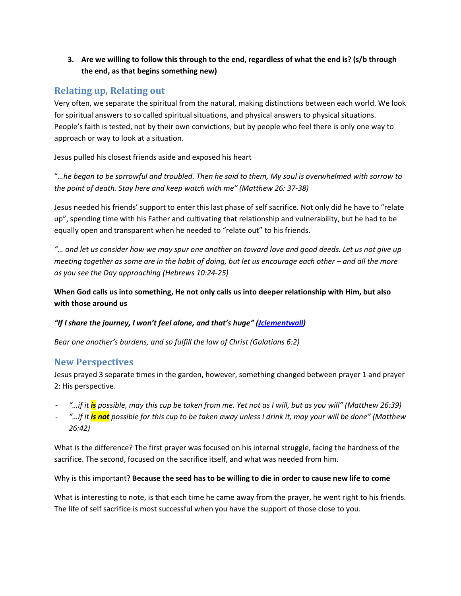3. Are we willing to follow this through to the end, regardless of what the end is? (s/b through the end, as that begins something new)

## Relating up, Relating out

Very often, we separate the spiritual from the natural, making distinctions between each world. We look for spiritual answers to so called spiritual situations, and physical answers to physical situations. People's faith is tested, not by their own convictions, but by people who feel there is only one way to approach or way to look at a situation.

Jesus pulled his closest friends aside and exposed his heart

"…he began to be sorrowful and troubled. Then he said to them, My soul is overwhelmed with sorrow to the point of death. Stay here and keep watch with me" (Matthew 26: 37-38)

Jesus needed his friends' support to enter this last phase of self sacrifice. Not only did he have to "relate up", spending time with his Father and cultivating that relationship and vulnerability, but he had to be equally open and transparent when he needed to "relate out" to his friends.

"… and let us consider how we may spur one another on toward love and good deeds. Let us not give up meeting together as some are in the habit of doing, but let us encourage each other – and all the more as you see the Day approaching (Hebrews 10:24-25)

When God calls us into something, He not only calls us into deeper relationship with Him, but also with those around us

#### "If I share the journey, I won't feel alone, and that's huge" (*Jclementwall*)

Bear one another's burdens, and so fulfill the law of Christ (Galatians 6:2)

## New Perspectives

Jesus prayed 3 separate times in the garden, however, something changed between prayer 1 and prayer 2: His perspective.

- "…if it is possible, may this cup be taken from me. Yet not as I will, but as you will" (Matthew 26:39)
- "…if it is not possible for this cup to be taken away unless I drink it, may your will be done" (Matthew 26:42)

What is the difference? The first prayer was focused on his internal struggle, facing the hardness of the sacrifice. The second, focused on the sacrifice itself, and what was needed from him.

Why is this important? Because the seed has to be willing to die in order to cause new life to come

What is interesting to note, is that each time he came away from the prayer, he went right to his friends. The life of self sacrifice is most successful when you have the support of those close to you.